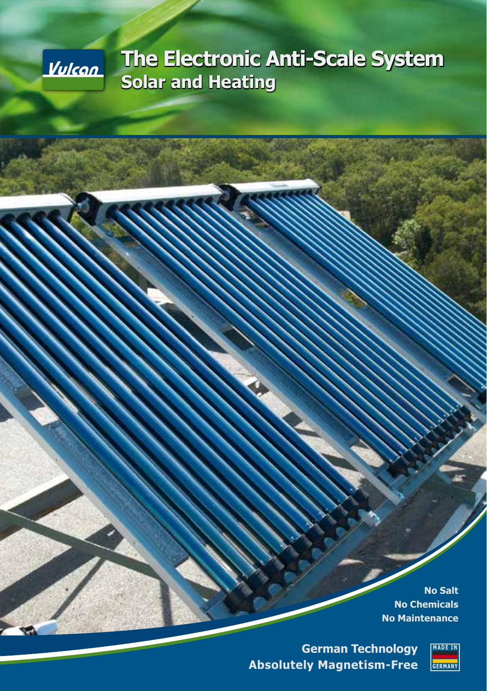

# **The Electronic Anti-Scale System Solar and Heating**

**No Salt No Chemicals No Maintenance**

**German Technology Absolutely Magnetism-Free**

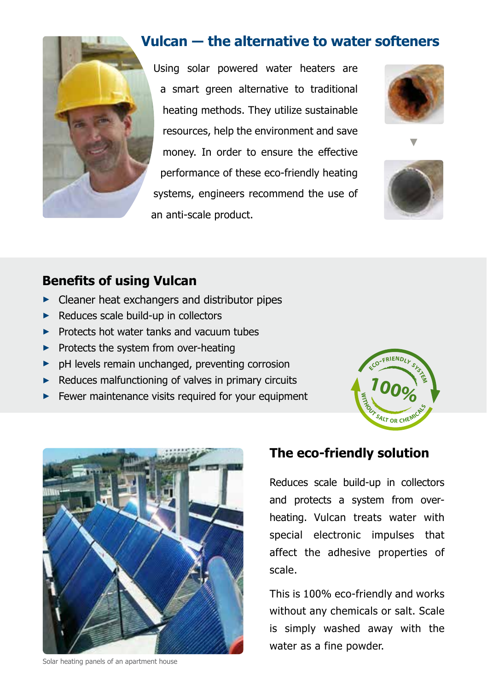

## **Vulcan ― the alternative to water softeners**

Using solar powered water heaters are a smart green alternative to traditional heating methods. They utilize sustainable resources, help the environment and save money. In order to ensure the effective performance of these eco-friendly heating systems, engineers recommend the use of an anti-scale product.





**►**

## **Benefits of using Vulcan**

- **►** Cleaner heat exchangers and distributor pipes
- ► Reduces scale build-up in collectors
- **►** Protects hot water tanks and vacuum tubes
- **►** Protects the system from over-heating
- **►** pH levels remain unchanged, preventing corrosion
- **►** Reduces malfunctioning of valves in primary circuits
- **►** Fewer maintenance visits required for your equipment





Solar heating panels of an apartment house

## **The eco-friendly solution**

Reduces scale build-up in collectors and protects a system from overheating. Vulcan treats water with special electronic impulses that affect the adhesive properties of scale.

This is 100% eco-friendly and works without any chemicals or salt. Scale is simply washed away with the water as a fine powder.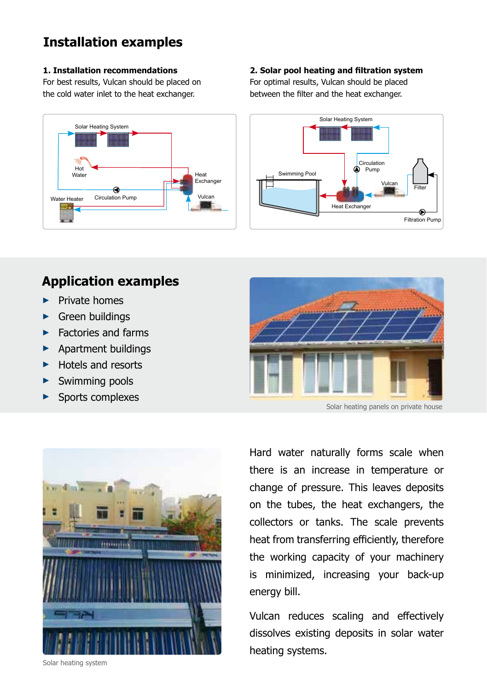## **Installation examples**

#### **1. Installation recommendations**

For best results, Vulcan should be placed on the cold water inlet to the heat exchanger.



#### **2. Solar pool heating and filtration system**

For optimal results, Vulcan should be placed between the filter and the heat exchanger.



## **Application examples**

- **►** Private homes
- **►** Green buildings
- **►** Factories and farms
- **►** Apartment buildings
- **►** Hotels and resorts
- **►** Swimming pools
- **►** Sports complexes





Hard water naturally forms scale when there is an increase in temperature or change of pressure. This leaves deposits on the tubes, the heat exchangers, the collectors or tanks. The scale prevents heat from transferring efficiently, therefore the working capacity of your machinery is minimized, increasing your back-up energy bill.

Vulcan reduces scaling and effectively dissolves existing deposits in solar water heating systems.

Solar heating system